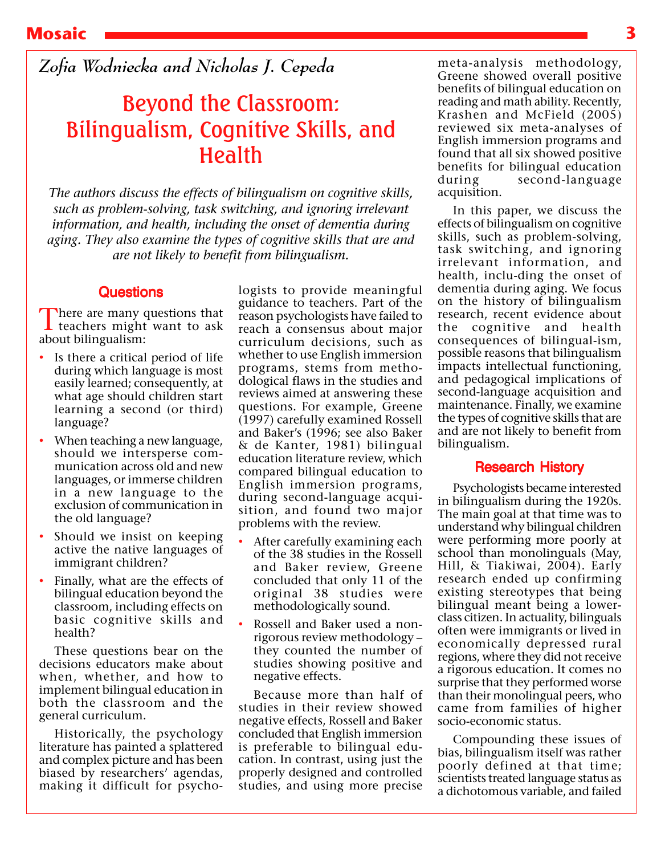*Zofia Wodniecka and Nicholas J. Cepeda*

# Beyond the Classroom: Bilingualism, Cognitive Skills, and Health

*The authors discuss the effects of bilingualism on cognitive skills, such as problem-solving, task switching, and ignoring irrelevant information, and health, including the onset of dementia during aging. They also examine the types of cognitive skills that are and are not likely to benefit from bilingualism.*

## **Questions**

There are many questions that<br>teachers might want to ask about bilingualism:

- Is there a critical period of life during which language is most easily learned; consequently, at what age should children start learning a second (or third) language?
- When teaching a new language, should we intersperse communication across old and new languages, or immerse children in a new language to the exclusion of communication in the old language?
- Should we insist on keeping active the native languages of immigrant children?
- Finally, what are the effects of bilingual education beyond the classroom, including effects on basic cognitive skills and health?

These questions bear on the decisions educators make about when, whether, and how to implement bilingual education in both the classroom and the general curriculum.

Historically, the psychology literature has painted a splattered and complex picture and has been biased by researchers' agendas, making it difficult for psychologists to provide meaningful guidance to teachers. Part of the reason psychologists have failed to reach a consensus about major curriculum decisions, such as whether to use English immersion programs, stems from methodological flaws in the studies and reviews aimed at answering these questions. For example, Greene (1997) carefully examined Rossell and Baker's (1996; see also Baker & de Kanter, 1981) bilingual education literature review, which compared bilingual education to English immersion programs, during second-language acquisition, and found two major problems with the review.

- After carefully examining each of the 38 studies in the Rossell and Baker review, Greene concluded that only 11 of the original 38 studies were methodologically sound.
- Rossell and Baker used a nonrigorous review methodology – they counted the number of studies showing positive and negative effects.

Because more than half of studies in their review showed negative effects, Rossell and Baker concluded that English immersion is preferable to bilingual education. In contrast, using just the properly designed and controlled studies, and using more precise

meta-analysis methodology, Greene showed overall positive benefits of bilingual education on reading and math ability. Recently, Krashen and McField (2005) reviewed six meta-analyses of English immersion programs and found that all six showed positive benefits for bilingual education during second-language acquisition.

In this paper, we discuss the effects of bilingualism on cognitive skills, such as problem-solving, task switching, and ignoring irrelevant information, and health, inclu-ding the onset of dementia during aging. We focus on the history of bilingualism research, recent evidence about the cognitive and health consequences of bilingual-ism, possible reasons that bilingualism impacts intellectual functioning, and pedagogical implications of second-language acquisition and maintenance. Finally, we examine the types of cognitive skills that are and are not likely to benefit from bilingualism.

# Research History

Psychologists became interested in bilingualism during the 1920s. The main goal at that time was to understand why bilingual children were performing more poorly at school than monolinguals (May, Hill, & Tiakiwai, 2004). Early research ended up confirming existing stereotypes that being bilingual meant being a lowerclass citizen. In actuality, bilinguals often were immigrants or lived in economically depressed rural regions, where they did not receive a rigorous education. It comes no surprise that they performed worse than their monolingual peers, who came from families of higher socio-economic status.

Compounding these issues of bias, bilingualism itself was rather poorly defined at that time; scientists treated language status as a dichotomous variable, and failed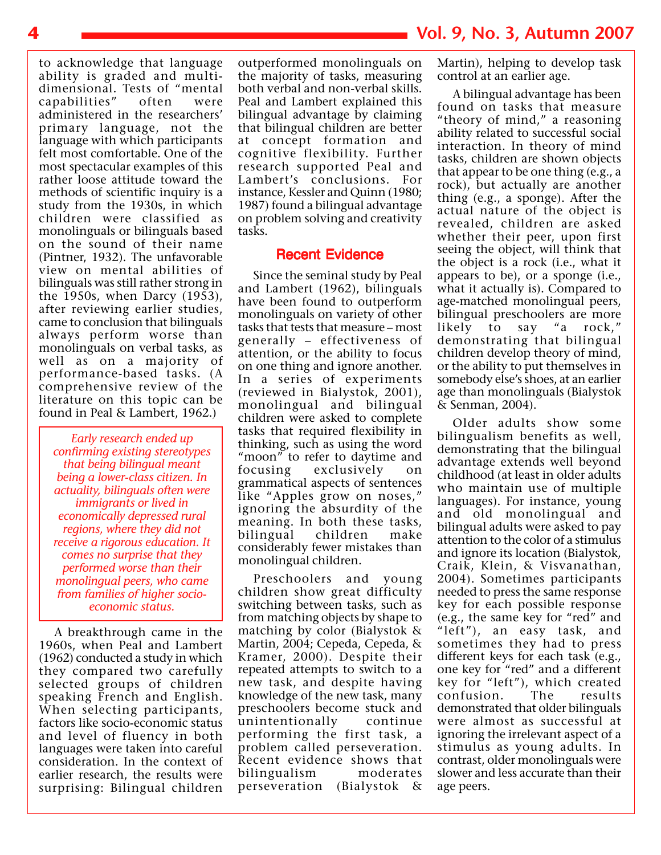to acknowledge that language ability is graded and multidimensional. Tests of "mental capabilities" often were administered in the researchers' primary language, not the language with which participants felt most comfortable. One of the most spectacular examples of this rather loose attitude toward the methods of scientific inquiry is a study from the 1930s, in which children were classified as monolinguals or bilinguals based on the sound of their name (Pintner, 1932). The unfavorable view on mental abilities of bilinguals was still rather strong in the 1950s, when Darcy (1953), after reviewing earlier studies, came to conclusion that bilinguals always perform worse than monolinguals on verbal tasks, as well as on a majority of performance-based tasks. (A comprehensive review of the literature on this topic can be found in Peal & Lambert, 1962.)

*Early research ended up confirming existing stereotypes that being bilingual meant being a lower-class citizen. In actuality, bilinguals often were immigrants or lived in economically depressed rural regions, where they did not receive a rigorous education. It comes no surprise that they performed worse than their monolingual peers, who came from families of higher socioeconomic status.*

A breakthrough came in the 1960s, when Peal and Lambert (1962) conducted a study in which they compared two carefully selected groups of children speaking French and English. When selecting participants, factors like socio-economic status and level of fluency in both languages were taken into careful consideration. In the context of earlier research, the results were surprising: Bilingual children

outperformed monolinguals on the majority of tasks, measuring both verbal and non-verbal skills. Peal and Lambert explained this bilingual advantage by claiming that bilingual children are better at concept formation and cognitive flexibility. Further research supported Peal and Lambert's conclusions. For instance, Kessler and Quinn (1980; 1987) found a bilingual advantage on problem solving and creativity tasks.

### Recent Evidence

Since the seminal study by Peal and Lambert (1962), bilinguals have been found to outperform monolinguals on variety of other tasks that tests that measure – most generally – effectiveness of attention, or the ability to focus on one thing and ignore another. In a series of experiments (reviewed in Bialystok, 2001), monolingual and bilingual children were asked to complete tasks that required flexibility in thinking, such as using the word "moon" to refer to daytime and focusing exclusively grammatical aspects of sentences like "Apples grow on noses," ignoring the absurdity of the meaning. In both these tasks, bilingual children make considerably fewer mistakes than monolingual children.

Preschoolers and young children show great difficulty switching between tasks, such as from matching objects by shape to matching by color (Bialystok & Martin, 2004; Cepeda, Cepeda, & Kramer, 2000). Despite their repeated attempts to switch to a new task, and despite having knowledge of the new task, many preschoolers become stuck and unintentionally continue performing the first task, a problem called perseveration. Recent evidence shows that bilingualism moderates perseveration (Bialystok &

Martin), helping to develop task control at an earlier age.

A bilingual advantage has been found on tasks that measure "theory of mind," a reasoning ability related to successful social interaction. In theory of mind tasks, children are shown objects that appear to be one thing (e.g., a rock), but actually are another thing (e.g., a sponge). After the actual nature of the object is revealed, children are asked whether their peer, upon first seeing the object, will think that the object is a rock (i.e., what it appears to be), or a sponge (i.e., what it actually is). Compared to age-matched monolingual peers, bilingual preschoolers are more<br>likely to say "a rock," likely to say "a rock," demonstrating that bilingual children develop theory of mind, or the ability to put themselves in somebody else's shoes, at an earlier age than monolinguals (Bialystok & Senman, 2004).

Older adults show some bilingualism benefits as well, demonstrating that the bilingual advantage extends well beyond childhood (at least in older adults who maintain use of multiple languages). For instance, young and old monolingual and bilingual adults were asked to pay attention to the color of a stimulus and ignore its location (Bialystok, Craik, Klein, & Visvanathan, 2004). Sometimes participants needed to press the same response key for each possible response (e.g., the same key for "red" and "left"), an easy task, and sometimes they had to press different keys for each task (e.g., one key for "red" and a different key for "left"), which created<br>confusion. The results confusion. The results demonstrated that older bilinguals were almost as successful at ignoring the irrelevant aspect of a stimulus as young adults. In contrast, older monolinguals were slower and less accurate than their age peers.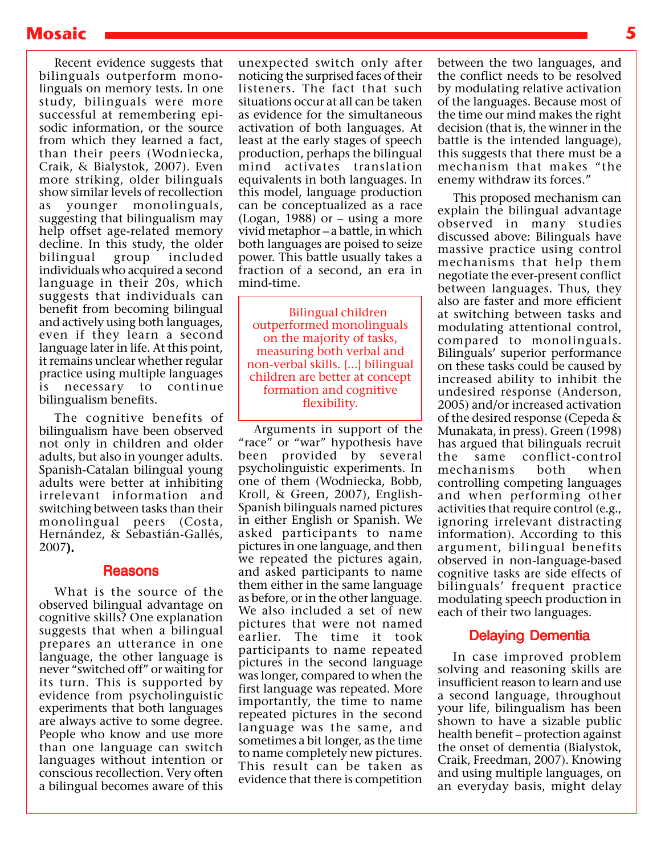# **Mosaic 5**

Recent evidence suggests that bilinguals outperform monolinguals on memory tests. In one study, bilinguals were more successful at remembering episodic information, or the source from which they learned a fact, than their peers (Wodniecka, Craik, & Bialystok, 2007). Even more striking, older bilinguals show similar levels of recollection as younger monolinguals, suggesting that bilingualism may help offset age-related memory decline. In this study, the older bilingual group included individuals who acquired a second language in their 20s, which suggests that individuals can benefit from becoming bilingual and actively using both languages, even if they learn a second language later in life. At this point, it remains unclear whether regular practice using multiple languages is necessary to continue bilingualism benefits.

The cognitive benefits of bilingualism have been observed not only in children and older adults, but also in younger adults. Spanish-Catalan bilingual young adults were better at inhibiting irrelevant information and switching between tasks than their monolingual peers (Costa, Hernández, & Sebastián-Gallés, 2007).

### Reasons

What is the source of the observed bilingual advantage on cognitive skills? One explanation suggests that when a bilingual prepares an utterance in one language, the other language is never "switched off" or waiting for its turn. This is supported by evidence from psycholinguistic experiments that both languages are always active to some degree. People who know and use more than one language can switch languages without intention or conscious recollection. Very often a bilingual becomes aware of this

unexpected switch only after noticing the surprised faces of their listeners. The fact that such situations occur at all can be taken as evidence for the simultaneous activation of both languages. At least at the early stages of speech production, perhaps the bilingual mind activates translation equivalents in both languages. In this model, language production can be conceptualized as a race (Logan, 1988) or – using a more vivid metaphor – a battle, in which both languages are poised to seize power. This battle usually takes a fraction of a second, an era in mind-time.

Bilingual children outperformed monolinguals on the majority of tasks, measuring both verbal and non-verbal skills. {...} bilingual children are better at concept formation and cognitive flexibility.

Arguments in support of the "race" or "war" hypothesis have been provided by several psycholinguistic experiments. In one of them (Wodniecka, Bobb, Kroll, & Green, 2007), English-Spanish bilinguals named pictures in either English or Spanish. We asked participants to name pictures in one language, and then we repeated the pictures again, and asked participants to name them either in the same language as before, or in the other language. We also included a set of new pictures that were not named earlier. The time it took participants to name repeated pictures in the second language was longer, compared to when the first language was repeated. More importantly, the time to name repeated pictures in the second language was the same, and sometimes a bit longer, as the time to name completely new pictures. This result can be taken as evidence that there is competition

between the two languages, and the conflict needs to be resolved by modulating relative activation of the languages. Because most of the time our mind makes the right decision (that is, the winner in the battle is the intended language), this suggests that there must be a mechanism that makes "the enemy withdraw its forces."

This proposed mechanism can explain the bilingual advantage observed in many studies discussed above: Bilinguals have massive practice using control mechanisms that help them negotiate the ever-present conflict between languages. Thus, they also are faster and more efficient at switching between tasks and modulating attentional control, compared to monolinguals. Bilinguals' superior performance on these tasks could be caused by increased ability to inhibit the undesired response (Anderson, 2005) and/or increased activation of the desired response (Cepeda & Munakata, in press). Green (1998) has argued that bilinguals recruit the same conflict-control mechanisms both when controlling competing languages and when performing other activities that require control (e.g., ignoring irrelevant distracting information). According to this argument, bilingual benefits observed in non-language-based cognitive tasks are side effects of bilinguals' frequent practice modulating speech production in each of their two languages.

## Delaying Dementia

In case improved problem solving and reasoning skills are insufficient reason to learn and use a second language, throughout your life, bilingualism has been shown to have a sizable public health benefit – protection against the onset of dementia (Bialystok, Craik, Freedman, 2007). Knowing and using multiple languages, on an everyday basis, might delay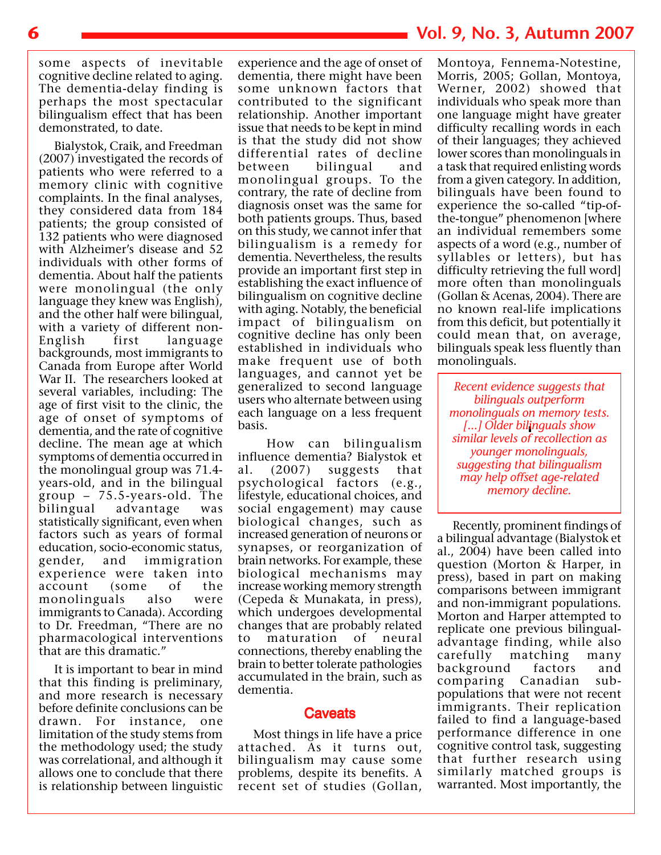some aspects of inevitable cognitive decline related to aging. The dementia-delay finding is perhaps the most spectacular bilingualism effect that has been demonstrated, to date.

Bialystok, Craik, and Freedman (2007) investigated the records of patients who were referred to a memory clinic with cognitive complaints. In the final analyses, they considered data from 184 patients; the group consisted of 132 patients who were diagnosed with Alzheimer's disease and 52 individuals with other forms of dementia. About half the patients were monolingual (the only language they knew was English), and the other half were bilingual, with a variety of different non-English first language backgrounds, most immigrants to Canada from Europe after World War II. The researchers looked at several variables, including: The age of first visit to the clinic, the age of onset of symptoms of dementia, and the rate of cognitive decline. The mean age at which symptoms of dementia occurred in the monolingual group was 71.4 years-old, and in the bilingual  $\gamma$ group – 75.5-years-old. The bilingual advantage was statistically significant, even when factors such as years of formal education, socio-economic status, gender, and immigration experience were taken into account (some of the monolinguals also were immigrants to Canada). According to Dr. Freedman, "There are no pharmacological interventions that are this dramatic."

It is important to bear in mind that this finding is preliminary, and more research is necessary before definite conclusions can be drawn. For instance, one limitation of the study stems from the methodology used; the study was correlational, and although it allows one to conclude that there is relationship between linguistic

experience and the age of onset of dementia, there might have been some unknown factors that contributed to the significant relationship. Another important issue that needs to be kept in mind is that the study did not show differential rates of decline between bilingual and monolingual groups. To the contrary, the rate of decline from diagnosis onset was the same for both patients groups. Thus, based on this study, we cannot infer that bilingualism is a remedy for dementia. Nevertheless, the results provide an important first step in establishing the exact influence of bilingualism on cognitive decline with aging. Notably, the beneficial impact of bilingualism on cognitive decline has only been established in individuals who make frequent use of both languages, and cannot yet be generalized to second language users who alternate between using each language on a less frequent basis.

 How can bilingualism influence dementia? Bialystok et al. (2007) suggests that psychological factors (e.g., lifestyle, educational choices, and social engagement) may cause biological changes, such as increased generation of neurons or synapses, or reorganization of brain networks. For example, these biological mechanisms may increase working memory strength (Cepeda & Munakata, in press), which undergoes developmental changes that are probably related to maturation of neural connections, thereby enabling the brain to better tolerate pathologies accumulated in the brain, such as dementia.

#### **Caveats**

Most things in life have a price attached. As it turns out, bilingualism may cause some problems, despite its benefits. A recent set of studies (Gollan,

# **6 Vol. 9, No. 3, Autumn 2007**

Montoya, Fennema-Notestine, Morris, 2005; Gollan, Montoya, Werner, 2002) showed that individuals who speak more than one language might have greater difficulty recalling words in each of their languages; they achieved lower scores than monolinguals in a task that required enlisting words from a given category. In addition, bilinguals have been found to experience the so-called "tip-ofthe-tongue" phenomenon [where an individual remembers some aspects of a word (e.g., number of syllables or letters), but has difficulty retrieving the full word] more often than monolinguals (Gollan & Acenas, 2004). There are no known real-life implications from this deficit, but potentially it could mean that, on average, bilinguals speak less fluently than monolinguals.

*Recent evidence suggests that bilinguals outperform monolinguals on memory tests. [...] Older bilinguals show similar levels of recollection as younger monolinguals, suggesting that bilingualism may help offset age-related memory decline.*

Recently, prominent findings of a bilingual advantage (Bialystok et al., 2004) have been called into question (Morton & Harper, in press), based in part on making comparisons between immigrant and non-immigrant populations. Morton and Harper attempted to replicate one previous bilingualadvantage finding, while also carefully matching many background factors and comparing Canadian subpopulations that were not recent immigrants. Their replication failed to find a language-based performance difference in one cognitive control task, suggesting that further research using similarly matched groups is warranted. Most importantly, the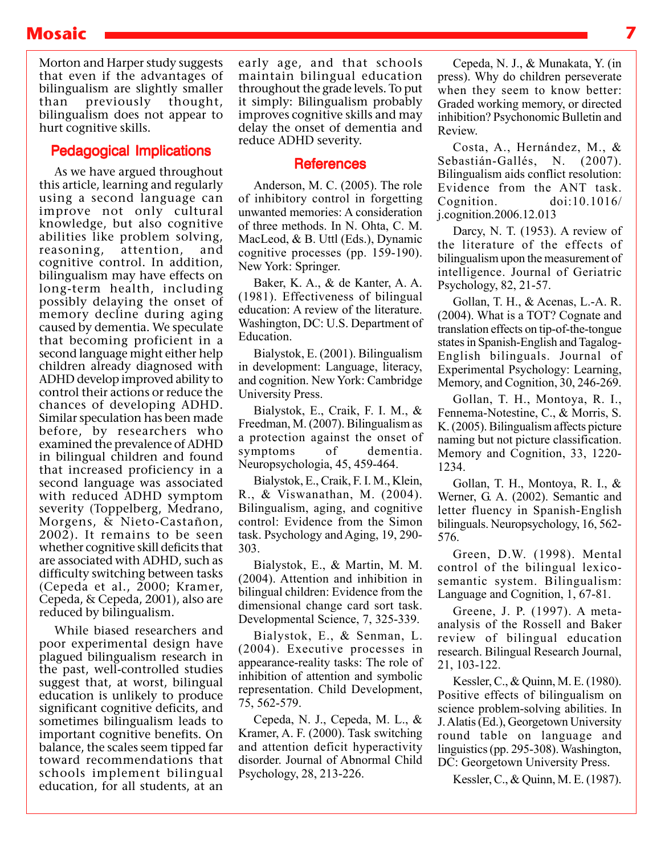# **Mosaic 7**

Morton and Harper study suggests that even if the advantages of bilingualism are slightly smaller than previously thought, bilingualism does not appear to hurt cognitive skills.

# Pedagogical Implications

As we have argued throughout this article, learning and regularly using a second language can improve not only cultural knowledge, but also cognitive abilities like problem solving, reasoning, attention, and cognitive control. In addition, bilingualism may have effects on long-term health, including possibly delaying the onset of memory decline during aging caused by dementia. We speculate that becoming proficient in a second language might either help children already diagnosed with ADHD develop improved ability to control their actions or reduce the chances of developing ADHD. Similar speculation has been made before, by researchers who examined the prevalence of ADHD in bilingual children and found that increased proficiency in a second language was associated with reduced ADHD symptom severity (Toppelberg, Medrano, Morgens, & Nieto-Castañon, 2002). It remains to be seen whether cognitive skill deficits that are associated with ADHD, such as difficulty switching between tasks (Cepeda et al., 2000; Kramer, Cepeda, & Cepeda, 2001), also are reduced by bilingualism.

While biased researchers and poor experimental design have plagued bilingualism research in the past, well-controlled studies suggest that, at worst, bilingual education is unlikely to produce significant cognitive deficits, and sometimes bilingualism leads to important cognitive benefits. On balance, the scales seem tipped far toward recommendations that schools implement bilingual education, for all students, at an

early age, and that schools maintain bilingual education throughout the grade levels. To put it simply: Bilingualism probably improves cognitive skills and may delay the onset of dementia and reduce ADHD severity.

### References

Anderson, M. C. (2005). The role of inhibitory control in forgetting unwanted memories: A consideration of three methods. In N. Ohta, C. M. MacLeod, & B. Uttl (Eds.), Dynamic cognitive processes (pp. 159-190). New York: Springer.

Baker, K. A., & de Kanter, A. A. (1981). Effectiveness of bilingual education: A review of the literature. Washington, DC: U.S. Department of Education.

Bialystok, E. (2001). Bilingualism in development: Language, literacy, and cognition. New York: Cambridge University Press.

Bialystok, E., Craik, F. I. M., & Freedman, M. (2007). Bilingualism as a protection against the onset of symptoms of dementia. Neuropsychologia, 45, 459-464.

Bialystok, E., Craik, F. I. M., Klein, R., & Viswanathan, M. (2004). Bilingualism, aging, and cognitive control: Evidence from the Simon task. Psychology and Aging, 19, 290- 303.

Bialystok, E., & Martin, M. M. (2004). Attention and inhibition in bilingual children: Evidence from the dimensional change card sort task. Developmental Science, 7, 325-339.

Bialystok, E., & Senman, L. (2004). Executive processes in appearance-reality tasks: The role of inhibition of attention and symbolic representation. Child Development, 75, 562-579.

Cepeda, N. J., Cepeda, M. L., & Kramer, A. F. (2000). Task switching and attention deficit hyperactivity disorder. Journal of Abnormal Child Psychology, 28, 213-226.

Cepeda, N. J., & Munakata, Y. (in press). Why do children perseverate when they seem to know better: Graded working memory, or directed inhibition? Psychonomic Bulletin and Review.

Costa, A., Hernández, M., & Sebastián-Gallés, N. (2007). Bilingualism aids conflict resolution: Evidence from the ANT task. Cognition. doi:10.1016/ j.cognition.2006.12.013

Darcy, N. T. (1953). A review of the literature of the effects of bilingualism upon the measurement of intelligence. Journal of Geriatric Psychology, 82, 21-57.

Gollan, T. H., & Acenas, L.-A. R. (2004). What is a TOT? Cognate and translation effects on tip-of-the-tongue states in Spanish-English and Tagalog-English bilinguals. Journal of Experimental Psychology: Learning, Memory, and Cognition, 30, 246-269.

Gollan, T. H., Montoya, R. I., Fennema-Notestine, C., & Morris, S. K. (2005). Bilingualism affects picture naming but not picture classification. Memory and Cognition, 33, 1220- 1234.

Gollan, T. H., Montoya, R. I., & Werner, G. A. (2002). Semantic and letter fluency in Spanish-English bilinguals. Neuropsychology, 16, 562- 576.

Green, D.W. (1998). Mental control of the bilingual lexicosemantic system. Bilingualism: Language and Cognition, 1, 67-81.

Greene, J. P. (1997). A metaanalysis of the Rossell and Baker review of bilingual education research. Bilingual Research Journal, 21, 103-122.

Kessler, C., & Quinn, M. E. (1980). Positive effects of bilingualism on science problem-solving abilities. In J. Alatis (Ed.), Georgetown University round table on language and linguistics (pp. 295-308). Washington, DC: Georgetown University Press.

Kessler, C., & Quinn, M. E. (1987).